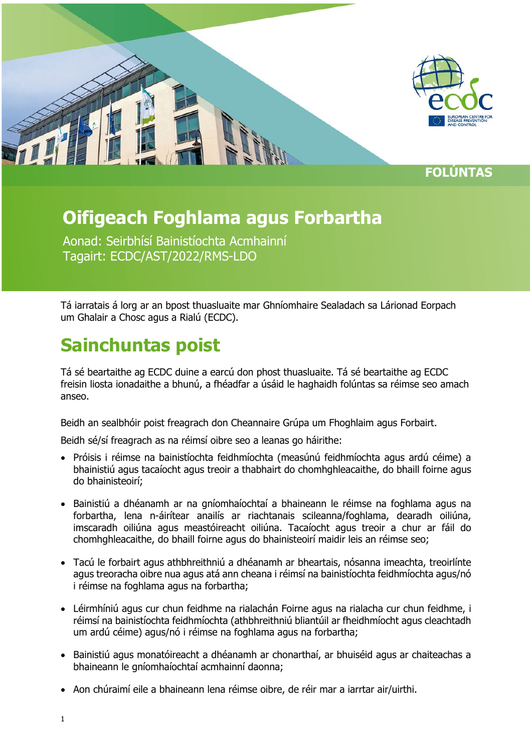

## **Oifigeach Foghlama agus Forbartha**

Aonad: Seirbhísí Bainistíochta Acmhainní Tagairt: ECDC/AST/2022/RMS-LDO

Tá iarratais á lorg ar an bpost thuasluaite mar Ghníomhaire Sealadach sa Lárionad Eorpach um Ghalair a Chosc agus a Rialú (ECDC).

## **Sainchuntas poist**

Tá sé beartaithe ag ECDC duine a earcú don phost thuasluaite. Tá sé beartaithe ag ECDC freisin liosta ionadaithe a bhunú, a fhéadfar a úsáid le haghaidh folúntas sa réimse seo amach anseo.

Beidh an sealbhóir poist freagrach don Cheannaire Grúpa um Fhoghlaim agus Forbairt.

Beidh sé/sí freagrach as na réimsí oibre seo a leanas go háirithe:

- Próisis i réimse na bainistíochta feidhmíochta (measúnú feidhmíochta agus ardú céime) a bhainistiú agus tacaíocht agus treoir a thabhairt do chomhghleacaithe, do bhaill foirne agus do bhainisteoirí;
- Bainistiú a dhéanamh ar na gníomhaíochtaí a bhaineann le réimse na foghlama agus na forbartha, lena n-áirítear anailís ar riachtanais scileanna/foghlama, dearadh oiliúna, imscaradh oiliúna agus meastóireacht oiliúna. Tacaíocht agus treoir a chur ar fáil do chomhghleacaithe, do bhaill foirne agus do bhainisteoirí maidir leis an réimse seo;
- Tacú le forbairt agus athbhreithniú a dhéanamh ar bheartais, nósanna imeachta, treoirlínte agus treoracha oibre nua agus atá ann cheana i réimsí na bainistíochta feidhmíochta agus/nó i réimse na foghlama agus na forbartha;
- Léirmhíniú agus cur chun feidhme na rialachán Foirne agus na rialacha cur chun feidhme, i réimsí na bainistíochta feidhmíochta (athbhreithniú bliantúil ar fheidhmíocht agus cleachtadh um ardú céime) agus/nó i réimse na foghlama agus na forbartha;
- Bainistiú agus monatóireacht a dhéanamh ar chonarthaí, ar bhuiséid agus ar chaiteachas a bhaineann le gníomhaíochtaí acmhainní daonna;
- Aon chúraimí eile a bhaineann lena réimse oibre, de réir mar a iarrtar air/uirthi.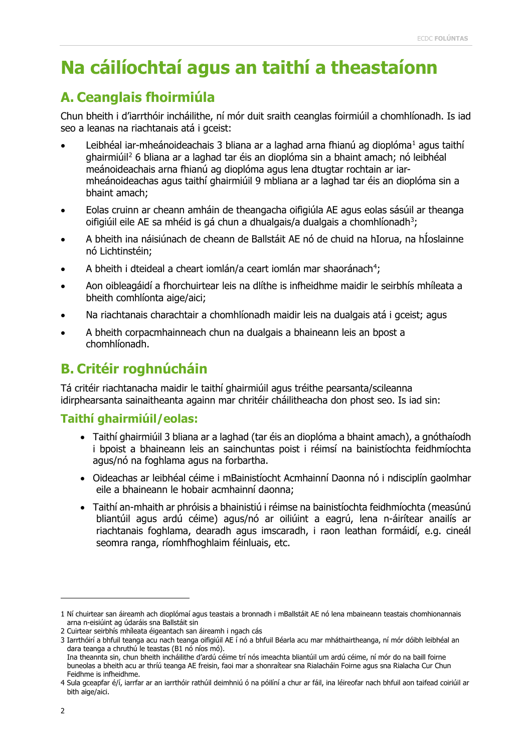## **Na cáilíochtaí agus an taithí a theastaíonn**

#### **A. Ceanglais fhoirmiúla**

Chun bheith i d'iarrthóir incháilithe, ní mór duit sraith ceanglas foirmiúil a chomhlíonadh. Is iad seo a leanas na riachtanais atá i gceist:

- Leibhéal iar-mheánoideachais 3 bliana ar a laghad arna fhianú ag dioplóma<sup>[1](#page-1-0)</sup> agus taithí ghairmiúil[2](#page-1-1) 6 bliana ar a laghad tar éis an dioplóma sin a bhaint amach; nó leibhéal meánoideachais arna fhianú ag dioplóma agus lena dtugtar rochtain ar iarmheánoideachas agus taithí ghairmiúil 9 mbliana ar a laghad tar éis an dioplóma sin a bhaint amach;
- Eolas cruinn ar cheann amháin de theangacha oifigiúla AE agus eolas sásúil ar theanga oifigiúil eile AE sa mhéid is gá chun a dhualgais/a dualgais a chomhlíonadh $^3$  $^3$ ;
- A bheith ina náisiúnach de cheann de Ballstáit AE nó de chuid na hIorua, na hÍoslainne nó Lichtinstéin;
- A bheith i dteideal a cheart iomlán/a ceart iomlán mar shaoránach<sup>[4](#page-1-3)</sup>;
- Aon oibleagáidí a fhorchuirtear leis na dlíthe is infheidhme maidir le seirbhís mhíleata a bheith comhlíonta aige/aici;
- Na riachtanais charachtair a chomhlíonadh maidir leis na dualgais atá i gceist; agus
- A bheith corpacmhainneach chun na dualgais a bhaineann leis an bpost a chomhlíonadh.

#### **B. Critéir roghnúcháin**

Tá critéir riachtanacha maidir le taithí ghairmiúil agus tréithe pearsanta/scileanna idirphearsanta sainaitheanta againn mar chritéir cháilitheacha don phost seo. Is iad sin:

#### **Taithí ghairmiúil/eolas:**

- Taithí ghairmiúil 3 bliana ar a laghad (tar éis an dioplóma a bhaint amach), a gnóthaíodh i bpoist a bhaineann leis an sainchuntas poist i réimsí na bainistíochta feidhmíochta agus/nó na foghlama agus na forbartha.
- Oideachas ar leibhéal céime i mBainistíocht Acmhainní Daonna nó i ndisciplín gaolmhar eile a bhaineann le hobair acmhainní daonna;
- Taithí an-mhaith ar phróisis a bhainistiú i réimse na bainistíochta feidhmíochta (measúnú bliantúil agus ardú céime) agus/nó ar oiliúint a eagrú, lena n-áirítear anailís ar riachtanais foghlama, dearadh agus imscaradh, i raon leathan formáidí, e.g. cineál seomra ranga, ríomhfhoghlaim féinluais, etc.

ī

<span id="page-1-0"></span><sup>1</sup> Ní chuirtear san áireamh ach dioplómaí agus teastais a bronnadh i mBallstáit AE nó lena mbaineann teastais chomhionannais arna n-eisiúint ag údaráis sna Ballstáit sin

<span id="page-1-1"></span><sup>2</sup> Cuirtear seirbhís mhíleata éigeantach san áireamh i ngach cás

<span id="page-1-2"></span><sup>3</sup> Iarrthóirí a bhfuil teanga acu nach teanga oifigiúil AE í nó a bhfuil Béarla acu mar mháthairtheanga, ní mór dóibh leibhéal an dara teanga a chruthú le teastas (B1 nó níos mó).

Ina theannta sin, chun bheith incháilithe d'ardú céime trí nós imeachta bliantúil um ardú céime, ní mór do na baill foirne buneolas a bheith acu ar thríú teanga AE freisin, faoi mar a shonraítear sna Rialacháin Foirne agus sna Rialacha Cur Chun Feidhme is infheidhme.

<span id="page-1-3"></span><sup>4</sup> Sula gceapfar é/í, iarrfar ar an iarrthóir rathúil deimhniú ó na póilíní a chur ar fáil, ina léireofar nach bhfuil aon taifead coiriúil ar bith aige/aici.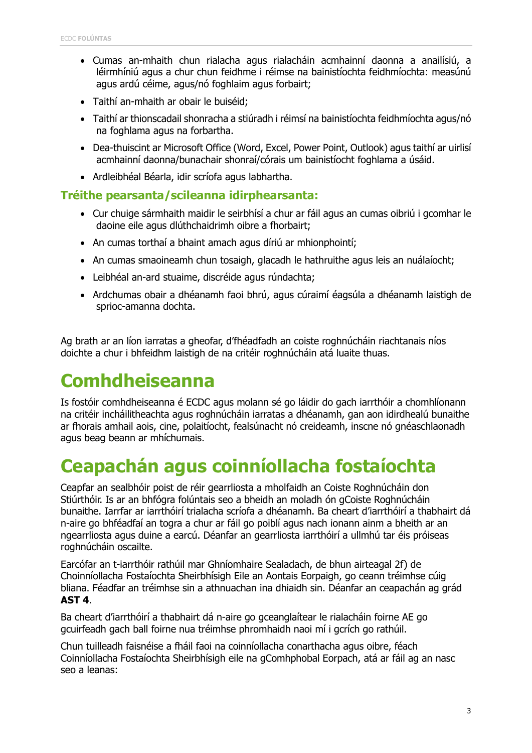- Cumas an-mhaith chun rialacha agus rialacháin acmhainní daonna a anailísiú, a léirmhíniú agus a chur chun feidhme i réimse na bainistíochta feidhmíochta: measúnú agus ardú céime, agus/nó foghlaim agus forbairt;
- Taithí an-mhaith ar obair le buiséid;
- Taithí ar thionscadail shonracha a stiúradh i réimsí na bainistíochta feidhmíochta agus/nó na foghlama agus na forbartha.
- Dea-thuiscint ar Microsoft Office (Word, Excel, Power Point, Outlook) agus taithí ar uirlisí acmhainní daonna/bunachair shonraí/córais um bainistíocht foghlama a úsáid.
- Ardleibhéal Béarla, idir scríofa agus labhartha.

#### **Tréithe pearsanta/scileanna idirphearsanta:**

- Cur chuige sármhaith maidir le seirbhísí a chur ar fáil agus an cumas oibriú i gcomhar le daoine eile agus dlúthchaidrimh oibre a fhorbairt;
- An cumas torthaí a bhaint amach agus díriú ar mhionphointí;
- An cumas smaoineamh chun tosaigh, glacadh le hathruithe agus leis an nuálaíocht;
- Leibhéal an-ard stuaime, discréide agus rúndachta;
- Ardchumas obair a dhéanamh faoi bhrú, agus cúraimí éagsúla a dhéanamh laistigh de sprioc-amanna dochta.

Ag brath ar an líon iarratas a gheofar, d'fhéadfadh an coiste roghnúcháin riachtanais níos doichte a chur i bhfeidhm laistigh de na critéir roghnúcháin atá luaite thuas.

# **Comhdheiseanna**

Is fostóir comhdheiseanna é ECDC agus molann sé go láidir do gach iarrthóir a chomhlíonann na critéir incháilitheachta agus roghnúcháin iarratas a dhéanamh, gan aon idirdhealú bunaithe ar fhorais amhail aois, cine, polaitíocht, fealsúnacht nó creideamh, inscne nó gnéaschlaonadh agus beag beann ar mhíchumais.

# **Ceapachán agus coinníollacha fostaíochta**

Ceapfar an sealbhóir poist de réir gearrliosta a mholfaidh an Coiste Roghnúcháin don Stiúrthóir. Is ar an bhfógra folúntais seo a bheidh an moladh ón gCoiste Roghnúcháin bunaithe. Iarrfar ar iarrthóirí trialacha scríofa a dhéanamh. Ba cheart d'iarrthóirí a thabhairt dá n-aire go bhféadfaí an togra a chur ar fáil go poiblí agus nach ionann ainm a bheith ar an ngearrliosta agus duine a earcú. Déanfar an gearrliosta iarrthóirí a ullmhú tar éis próiseas roghnúcháin oscailte.

Earcófar an t-iarrthóir rathúil mar Ghníomhaire Sealadach, de bhun airteagal 2f) de Choinníollacha Fostaíochta Sheirbhísigh Eile an Aontais Eorpaigh, go ceann tréimhse cúig bliana. Féadfar an tréimhse sin a athnuachan ina dhiaidh sin. Déanfar an ceapachán ag grád **AST 4**.

Ba cheart d'iarrthóirí a thabhairt dá n-aire go gceanglaítear le rialacháin foirne AE go gcuirfeadh gach ball foirne nua tréimhse phromhaidh naoi mí i gcrích go rathúil.

Chun tuilleadh faisnéise a fháil faoi na coinníollacha conarthacha agus oibre, féach Coinníollacha Fostaíochta Sheirbhísigh eile na gComhphobal Eorpach, atá ar fáil ag an nasc seo a leanas: